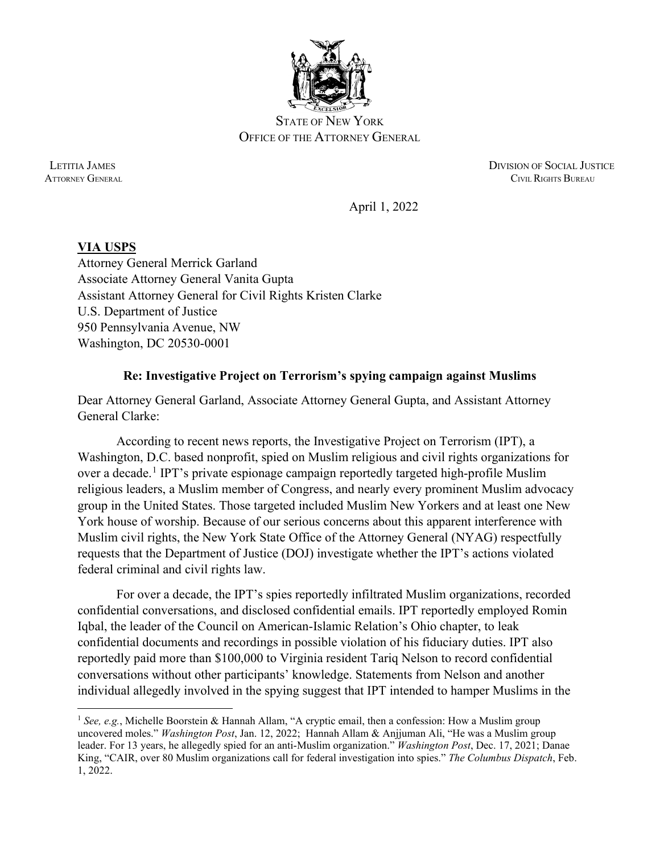

STATE OF NEW YORK OFFICE OF THE ATTORNEY GENERAL

 LETITIA JAMES DIVISION OF SOCIAL JUSTICE **ATTORNEY GENERAL CIVIL RIGHTS BUREAU** 

April 1, 2022

## **VIA USPS**

Attorney General Merrick Garland Associate Attorney General Vanita Gupta Assistant Attorney General for Civil Rights Kristen Clarke U.S. Department of Justice 950 Pennsylvania Avenue, NW Washington, DC 20530-0001

## **Re: Investigative Project on Terrorism's spying campaign against Muslims**

Dear Attorney General Garland, Associate Attorney General Gupta, and Assistant Attorney General Clarke:

According to recent news reports, the Investigative Project on Terrorism (IPT), a Washington, D.C. based nonprofit, spied on Muslim religious and civil rights organizations for over a decade.<sup>[1](#page-0-0)</sup> IPT's private espionage campaign reportedly targeted high-profile Muslim religious leaders, a Muslim member of Congress, and nearly every prominent Muslim advocacy group in the United States. Those targeted included Muslim New Yorkers and at least one New York house of worship. Because of our serious concerns about this apparent interference with Muslim civil rights, the New York State Office of the Attorney General (NYAG) respectfully requests that the Department of Justice (DOJ) investigate whether the IPT's actions violated federal criminal and civil rights law.

For over a decade, the IPT's spies reportedly infiltrated Muslim organizations, recorded confidential conversations, and disclosed confidential emails. IPT reportedly employed Romin Iqbal, the leader of the Council on American-Islamic Relation's Ohio chapter, to leak confidential documents and recordings in possible violation of his fiduciary duties. IPT also reportedly paid more than \$100,000 to Virginia resident Tariq Nelson to record confidential conversations without other participants' knowledge. Statements from Nelson and another individual allegedly involved in the spying suggest that IPT intended to hamper Muslims in the

<span id="page-0-0"></span><sup>&</sup>lt;sup>1</sup> See, e.g., Michelle Boorstein & Hannah Allam, "A cryptic email, then a confession: How a Muslim group uncovered moles." *Washington Post*, Jan. 12, 2022; Hannah Allam & Anjjuman Ali, "He was a Muslim group leader. For 13 years, he allegedly spied for an anti-Muslim organization." *Washington Post*, Dec. 17, 2021; Danae King, "CAIR, over 80 Muslim organizations call for federal investigation into spies." *The Columbus Dispatch*, Feb. 1, 2022.